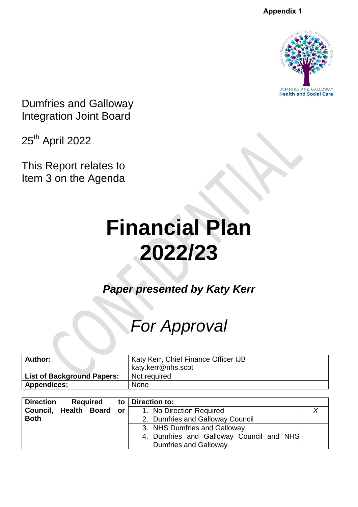

Dumfries and Galloway Integration Joint Board

25<sup>th</sup> April 2022

This Report relates to Item 3 on the Agenda

# **Financial Plan 2022/23**

*Paper presented by Katy Kerr* 

## *For Approval*

| Author:                           | Katy Kerr, Chief Finance Officer IJB |
|-----------------------------------|--------------------------------------|
|                                   | katy.kerr@nhs.scot                   |
| <b>List of Background Papers:</b> | Not required                         |
| <b>Appendices:</b>                | <b>None</b>                          |

| <b>Direction</b><br><b>Required</b> |               | to   Direction to:                                                       |  |
|-------------------------------------|---------------|--------------------------------------------------------------------------|--|
| Council, Health Board               | $\mathsf{or}$ | 1. No Direction Required                                                 |  |
| <b>Both</b>                         |               | 2. Dumfries and Galloway Council                                         |  |
|                                     |               | 3. NHS Dumfries and Galloway                                             |  |
|                                     |               | 4. Dumfries and Galloway Council and NHS<br><b>Dumfries and Galloway</b> |  |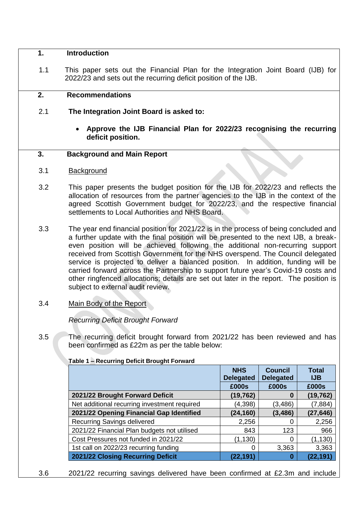#### **1. Introduction**

1.1 This paper sets out the Financial Plan for the Integration Joint Board (IJB) for 2022/23 and sets out the recurring deficit position of the IJB.

#### **2. Recommendations**

- 2.1 **The Integration Joint Board is asked to:**
	- **Approve the IJB Financial Plan for 2022/23 recognising the recurring deficit position.**

#### **3. Background and Main Report**

- 3.1 Background
- 3.2 This paper presents the budget position for the IJB for 2022/23 and reflects the allocation of resources from the partner agencies to the IJB in the context of the agreed Scottish Government budget for 2022/23, and the respective financial settlements to Local Authorities and NHS Board.
- 3.3 The year end financial position for 2021/22 is in the process of being concluded and a further update with the final position will be presented to the next IJB, a breakeven position will be achieved following the additional non-recurring support received from Scottish Government for the NHS overspend. The Council delegated service is projected to deliver a balanced position. In addition, funding will be carried forward across the Partnership to support future year's Covid-19 costs and other ringfenced allocations; details are set out later in the report. The position is subject to external audit review.
- 3.4 Main Body of the Report

#### *Recurring Deficit Brought Forward*

3.5 The recurring deficit brought forward from 2021/22 has been reviewed and has been confirmed as £22m as per the table below:

|                                              | <b>NHS</b><br><b>Delegated</b> | <b>Council</b><br><b>Delegated</b> | <b>Total</b><br>IJB |
|----------------------------------------------|--------------------------------|------------------------------------|---------------------|
|                                              | £000s                          | £000s                              | £000s               |
| 2021/22 Brought Forward Deficit              | (19,762)                       | 0                                  | (19, 762)           |
| Net additional recurring investment required | (4,398)                        | (3, 486)                           | (7, 884)            |
| 2021/22 Opening Financial Gap Identified     | (24, 160)                      | (3, 486)                           | (27, 646)           |
| <b>Recurring Savings delivered</b>           | 2,256                          | 0                                  | 2,256               |
| 2021/22 Financial Plan budgets not utilised  | 843                            | 123                                | 966                 |
| Cost Pressures not funded in 2021/22         | (1, 130)                       | 0                                  | (1, 130)            |
| 1st call on 2022/23 recurring funding        | 0                              | 3,363                              | 3,363               |
| 2021/22 Closing Recurring Deficit            | (22,191)                       | 0                                  | (22,191             |

**Table 1 – Recurring Deficit Brought Forward**

3.6 2021/22 recurring savings delivered have been confirmed at £2.3m and include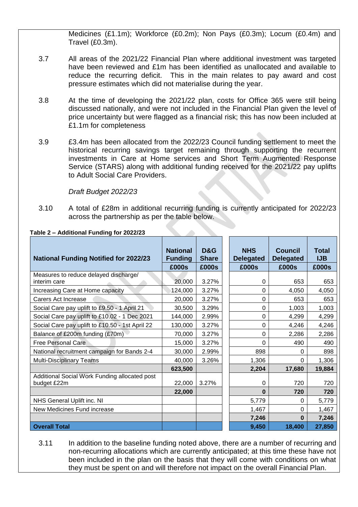Medicines (£1.1m); Workforce (£0.2m); Non Pays (£0.3m); Locum (£0.4m) and Travel (£0.3m).

- 3.7 All areas of the 2021/22 Financial Plan where additional investment was targeted have been reviewed and £1m has been identified as unallocated and available to reduce the recurring deficit. This in the main relates to pay award and cost pressure estimates which did not materialise during the year.
- 3.8 At the time of developing the 2021/22 plan, costs for Office 365 were still being discussed nationally, and were not included in the Financial Plan given the level of price uncertainty but were flagged as a financial risk; this has now been included at £1.1m for completeness
- 3.9 £3.4m has been allocated from the 2022/23 Council funding settlement to meet the historical recurring savings target remaining through supporting the recurrent investments in Care at Home services and Short Term Augmented Response Service (STARS) along with additional funding received for the 2021/22 pay uplifts to Adult Social Care Providers.

*Draft Budget 2022/23*

3.10 A total of £28m in additional recurring funding is currently anticipated for 2022/23 across the partnership as per the table below.

| <b>National Funding Notified for 2022/23</b>                 | <b>National</b><br><b>Funding</b> | D&G<br><b>Share</b> | <b>NHS</b><br><b>Delegated</b> | <b>Council</b><br><b>Delegated</b> | <b>Total</b><br><b>IJB</b> |
|--------------------------------------------------------------|-----------------------------------|---------------------|--------------------------------|------------------------------------|----------------------------|
|                                                              | £000s                             | £000s               | £000s                          | £000s                              | £000s                      |
| Measures to reduce delayed discharge/<br>interim care        | 20,000                            | 3.27%               | 0                              | 653                                | 653                        |
| Increasing Care at Home capacity                             | 124,000                           | 3.27%               | 0                              | 4,050                              | 4,050                      |
| Carers Act Increase                                          | 20,000                            | 3.27%               | 0                              | 653                                | 653                        |
| Social Care pay uplift to £9.50 - 1 April 21                 | 30,500                            | 3.29%               | 0                              | 1,003                              | 1,003                      |
| Social Care pay uplift to £10.02 - 1 Dec 2021                | 144,000                           | 2.99%               | 0                              | 4,299                              | 4,299                      |
| Social Care pay uplift to £10.50 - 1st April 22              | 130,000                           | 3.27%               | 0                              | 4,246                              | 4,246                      |
| Balance of £200m funding (£70m)                              | 70,000                            | 3.27%               | 0                              | 2,286                              | 2,286                      |
| <b>Free Personal Care</b>                                    | 15,000                            | 3.27%               | 0                              | 490                                | 490                        |
| National recruitment campaign for Bands 2-4                  | 30,000                            | 2.99%               | 898                            | 0                                  | 898                        |
| <b>Multi-Disciplinary Teams</b>                              | 40,000                            | 3.26%               | 1,306                          | 0                                  | 1,306                      |
|                                                              | 623,500                           |                     | 2,204                          | 17,680                             | 19,884                     |
| Additional Social Work Funding allocated post<br>budget £22m | 22,000                            | 3.27%               | 0                              | 720                                | 720                        |
|                                                              | 22,000                            |                     | 0                              | 720                                | 720                        |
| NHS General Uplift inc. NI                                   |                                   |                     | 5,779                          | 0                                  | 5,779                      |
| New Medicines Fund increase                                  |                                   |                     | 1,467                          | 0                                  | 1,467                      |
|                                                              |                                   |                     | 7,246                          | $\bf{0}$                           | 7,246                      |
| <b>Overall Total</b>                                         |                                   |                     | 9,450                          | 18,400                             | 27,850                     |

#### **Table 2 – Additional Funding for 2022/23**

3.11 In addition to the baseline funding noted above, there are a number of recurring and non-recurring allocations which are currently anticipated; at this time these have not been included in the plan on the basis that they will come with conditions on what they must be spent on and will therefore not impact on the overall Financial Plan.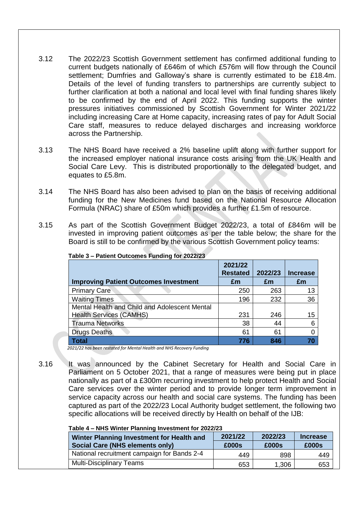- 3.12 The 2022/23 Scottish Government settlement has confirmed additional funding to current budgets nationally of £646m of which £576m will flow through the Council settlement; Dumfries and Galloway's share is currently estimated to be £18.4m. Details of the level of funding transfers to partnerships are currently subject to further clarification at both a national and local level with final funding shares likely to be confirmed by the end of April 2022. This funding supports the winter pressures initiatives commissioned by Scottish Government for Winter 2021/22 including increasing Care at Home capacity, increasing rates of pay for Adult Social Care staff, measures to reduce delayed discharges and increasing workforce across the Partnership.
- 3.13 The NHS Board have received a 2% baseline uplift along with further support for the increased employer national insurance costs arising from the UK Health and Social Care Levy. This is distributed proportionally to the delegated budget, and equates to £5.8m.
- 3.14 The NHS Board has also been advised to plan on the basis of receiving additional funding for the New Medicines fund based on the National Resource Allocation Formula (NRAC) share of £50m which provides a further £1.5m of resource.
- 3.15 As part of the Scottish Government Budget 2022/23, a total of £846m will be invested in improving patient outcomes as per the table below; the share for the Board is still to be confirmed by the various Scottish Government policy teams:

|                                               | 2021/22<br><b>Restated</b> | 2022/23 | <b>Increase</b> |
|-----------------------------------------------|----------------------------|---------|-----------------|
| <b>Improving Patient Outcomes Investment</b>  | £m                         | £m      | £m              |
| <b>Primary Care</b>                           | 250                        | 263     | 13              |
| <b>Waiting Times</b>                          | 196                        | 232     | 36              |
| Mental Health and Child and Adolescent Mental |                            |         |                 |
| <b>Health Services (CAMHS)</b>                | 231                        | 246     | 15              |
| <b>Trauma Networks</b>                        | 38                         | 44      | 6               |
| <b>Drugs Deaths</b>                           | 61                         | 61      |                 |
| <b>Total</b>                                  | 776                        | 846     | 70              |

 **Table 3 – Patient Outcomes Funding for 2022/23**

 *2021/22 has been restated for Mental Health and NHS Recovery Funding*

3.16 It was announced by the Cabinet Secretary for Health and Social Care in Parliament on 5 October 2021, that a range of measures were being put in place nationally as part of a £300m recurring investment to help protect Health and Social Care services over the winter period and to provide longer term improvement in service capacity across our health and social care systems. The funding has been captured as part of the 2022/23 Local Authority budget settlement, the following two specific allocations will be received directly by Health on behalf of the IJB:

|  |  |  |  | Table 4 - NHS Winter Planning Investment for 2022/23 |  |
|--|--|--|--|------------------------------------------------------|--|
|--|--|--|--|------------------------------------------------------|--|

| Winter Planning Investment for Health and<br>Social Care (NHS elements only) | 2021/22<br>£000s | 2022/23<br>£000s | <b>Increase</b><br>£000s |
|------------------------------------------------------------------------------|------------------|------------------|--------------------------|
| National recruitment campaign for Bands 2-4                                  | 449              | 898              | 449                      |
| <b>Multi-Disciplinary Teams</b>                                              | 653              | 1,306            | 653                      |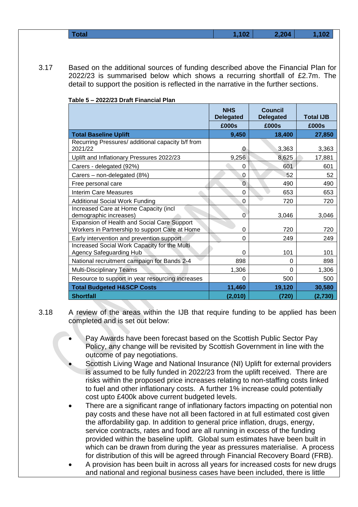3.17 Based on the additional sources of funding described above the Financial Plan for 2022/23 is summarised below which shows a recurring shortfall of £2.7m. The detail to support the position is reflected in the narrative in the further sections.

|                                                                                                      | <b>NHS</b><br><b>Delegated</b> | <b>Council</b><br><b>Delegated</b> | <b>Total IJB</b> |
|------------------------------------------------------------------------------------------------------|--------------------------------|------------------------------------|------------------|
|                                                                                                      | £000s                          | £000s                              | £000s            |
| <b>Total Baseline Uplift</b>                                                                         | 9,450                          | 18,400                             | 27,850           |
| Recurring Pressures/ additional capacity b/f from<br>2021/22                                         | $\Omega$                       | 3,363                              | 3,363            |
| Uplift and Inflationary Pressures 2022/23                                                            | 9,256                          | 8,625                              | 17,881           |
| Carers - delegated (92%)                                                                             | 0                              | 601                                | 601              |
| Carers - non-delegated (8%)                                                                          | 0                              | 52                                 | 52               |
| Free personal care                                                                                   | $\overline{0}$                 | 490                                | 490              |
| Interim Care Measures                                                                                | $\Omega$                       | 653                                | 653              |
| <b>Additional Social Work Funding</b>                                                                | 0                              | 720                                | 720              |
| Increased Care at Home Capacity (incl<br>demographic increases)                                      | $\overline{0}$                 | 3,046                              | 3,046            |
| <b>Expansion of Health and Social Care Support</b><br>Workers in Partnership to support Care at Home | 0                              | 720                                | 720              |
| Early intervention and prevention support                                                            | 0                              | 249                                | 249              |
| <b>Increased Social Work Capacity for the Multi</b><br><b>Agency Safeguarding Hub</b>                | 0                              | 101                                | 101              |
| National recruitment campaign for Bands 2-4                                                          | 898                            | 0                                  | 898              |
| <b>Multi-Disciplinary Teams</b>                                                                      | 1,306                          | $\Omega$                           | 1,306            |
| Resource to support in year resourcing increases                                                     | 0                              | 500                                | 500              |
| <b>Total Budgeted H&amp;SCP Costs</b>                                                                | 11,460                         | 19,120                             | 30,580           |
| <b>Shortfall</b>                                                                                     | (2,010)                        | (720)                              | (2,730)          |

#### **Table 5 – 2022/23 Draft Financial Plan**

3.18 A review of the areas within the IJB that require funding to be applied has been completed and is set out below:

> Pay Awards have been forecast based on the Scottish Public Sector Pay Policy, any change will be revisited by Scottish Government in line with the outcome of pay negotiations.

 Scottish Living Wage and National Insurance (NI) Uplift for external providers is assumed to be fully funded in 2022/23 from the uplift received. There are risks within the proposed price increases relating to non-staffing costs linked to fuel and other inflationary costs. A further 1% increase could potentially cost upto £400k above current budgeted levels.

 There are a significant range of inflationary factors impacting on potential non pay costs and these have not all been factored in at full estimated cost given the affordability gap. In addition to general price inflation, drugs, energy, service contracts, rates and food are all running in excess of the funding provided within the baseline uplift. Global sum estimates have been built in which can be drawn from during the year as pressures materialise. A process for distribution of this will be agreed through Financial Recovery Board (FRB).

 A provision has been built in across all years for increased costs for new drugs and national and regional business cases have been included, there is little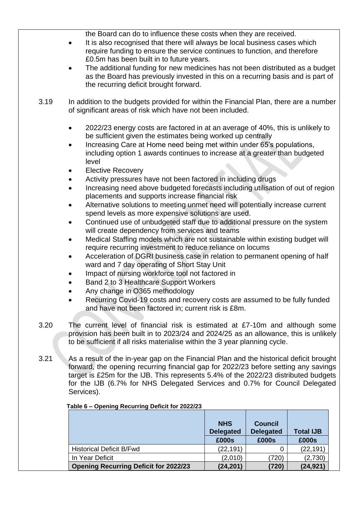the Board can do to influence these costs when they are received.

- It is also recognised that there will always be local business cases which require funding to ensure the service continues to function, and therefore £0.5m has been built in to future years.
- The additional funding for new medicines has not been distributed as a budget as the Board has previously invested in this on a recurring basis and is part of the recurring deficit brought forward.
- 3.19 In addition to the budgets provided for within the Financial Plan, there are a number of significant areas of risk which have not been included.
	- 2022/23 energy costs are factored in at an average of 40%, this is unlikely to be sufficient given the estimates being worked up centrally
	- Increasing Care at Home need being met within under 65's populations, including option 1 awards continues to increase at a greater than budgeted level
	- Elective Recovery
	- Activity pressures have not been factored in including drugs
	- Increasing need above budgeted forecasts including utilisation of out of region placements and supports increase financial risk
	- Alternative solutions to meeting unmet need will potentially increase current spend levels as more expensive solutions are used.
	- Continued use of unbudgeted staff due to additional pressure on the system will create dependency from services and teams
	- Medical Staffing models which are not sustainable within existing budget will require recurring investment to reduce reliance on locums
	- Acceleration of DGRI business case in relation to permanent opening of half ward and 7 day operating of Short Stay Unit
	- Impact of nursing workforce tool not factored in
	- Band 2 to 3 Healthcare Support Workers
	- Any change in O365 methodology
	- Recurring Covid-19 costs and recovery costs are assumed to be fully funded and have not been factored in; current risk is £8m.
- 3.20 The current level of financial risk is estimated at £7-10m and although some provision has been built in to 2023/24 and 2024/25 as an allowance, this is unlikely to be sufficient if all risks materialise within the 3 year planning cycle.
- 3.21 As a result of the in-year gap on the Financial Plan and the historical deficit brought forward, the opening recurring financial gap for 2022/23 before setting any savings target is £25m for the IJB. This represents 5.4% of the 2022/23 distributed budgets for the IJB (6.7% for NHS Delegated Services and 0.7% for Council Delegated Services).

#### **Table 6 – Opening Recurring Deficit for 2022/23**

|                                              | <b>NHS</b><br><b>Delegated</b> | <b>Council</b><br><b>Delegated</b> | <b>Total IJB</b> |
|----------------------------------------------|--------------------------------|------------------------------------|------------------|
|                                              | £000s                          | £000s                              | £000s            |
| <b>Historical Deficit B/Fwd</b>              | (22, 191)                      |                                    | (22, 191)        |
| In Year Deficit                              | (2,010)                        | (720)                              | (2,730)          |
| <b>Opening Recurring Deficit for 2022/23</b> | (24, 201)                      | (720)                              | (24, 921)        |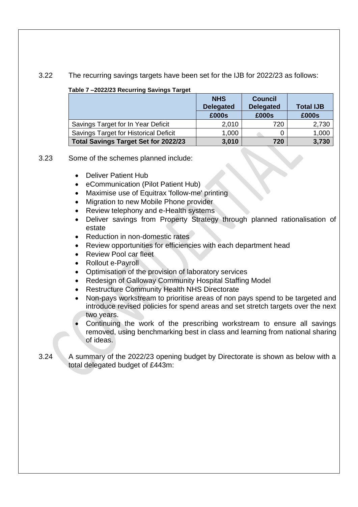#### 3.22 The recurring savings targets have been set for the IJB for 2022/23 as follows:

#### **Table 7 –2022/23 Recurring Savings Target**

|                                             | <b>NHS</b><br><b>Delegated</b> | <b>Council</b><br><b>Delegated</b> | <b>Total IJB</b> |
|---------------------------------------------|--------------------------------|------------------------------------|------------------|
|                                             | £000s                          | £000s                              | £000s            |
| Savings Target for In Year Deficit          | 2,010                          | 720                                | 2,730            |
| Savings Target for Historical Deficit       | 1,000                          |                                    | 1,000            |
| <b>Total Savings Target Set for 2022/23</b> | 3,010                          | 720                                | 3,730            |

#### 3.23 Some of the schemes planned include:

- Deliver Patient Hub
- eCommunication (Pilot Patient Hub)
- Maximise use of Equitrax 'follow-me' printing
- Migration to new Mobile Phone provider
- Review telephony and e-Health systems
- Deliver savings from Property Strategy through planned rationalisation of estate
- Reduction in non-domestic rates
- Review opportunities for efficiencies with each department head
- Review Pool car fleet
- Rollout e-Payroll
- Optimisation of the provision of laboratory services
- Redesign of Galloway Community Hospital Staffing Model
- Restructure Community Health NHS Directorate
- Non-pays workstream to prioritise areas of non pays spend to be targeted and introduce revised policies for spend areas and set stretch targets over the next two years.
- Continuing the work of the prescribing workstream to ensure all savings removed, using benchmarking best in class and learning from national sharing of ideas.

3.24 A summary of the 2022/23 opening budget by Directorate is shown as below with a total delegated budget of £443m: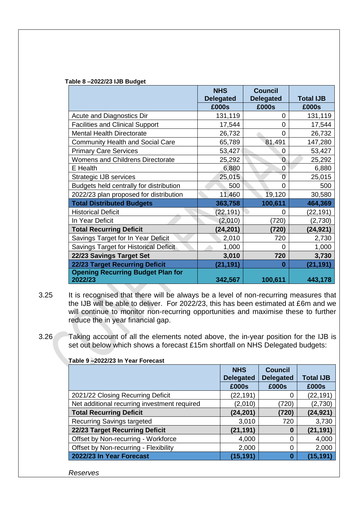#### **Table 8 –2022/23 IJB Budget**

|                                                     | <b>NHS</b><br><b>Delegated</b> | <b>Council</b><br><b>Delegated</b> | <b>Total IJB</b> |
|-----------------------------------------------------|--------------------------------|------------------------------------|------------------|
|                                                     | £000s                          | £000s                              | £000s            |
| Acute and Diagnostics Dir                           | 131,119                        | 0                                  | 131,119          |
| <b>Facilities and Clinical Support</b>              | 17,544                         | 0                                  | 17,544           |
| <b>Mental Health Directorate</b>                    | 26,732                         | $\overline{0}$                     | 26,732           |
| <b>Community Health and Social Care</b>             | 65,789                         | 81,491                             | 147,280          |
| <b>Primary Care Services</b>                        | 53,427                         | 0                                  | 53,427           |
| Womens and Childrens Directorate                    | 25,292                         | $\overline{0}$                     | 25,292           |
| E Health                                            | 6,880                          | $\mathbf 0$                        | 6,880            |
| <b>Strategic IJB services</b>                       | 25,015                         | $\overline{0}$                     | 25,015           |
| Budgets held centrally for distribution             | 500                            | 0                                  | 500              |
| 2022/23 plan proposed for distribution              | 11,460                         | 19,120                             | 30,580           |
| <b>Total Distributed Budgets</b>                    | 363,758                        | 100,611                            | 464,369          |
| <b>Historical Deficit</b>                           | (22,191)                       | 0                                  | (22, 191)        |
| In Year Deficit                                     | (2,010)                        | (720)                              | (2,730)          |
| <b>Total Recurring Deficit</b>                      | (24,201)                       | (720)                              | (24, 921)        |
| Savings Target for In Year Deficit                  | 2,010                          | 720                                | 2,730            |
| Savings Target for Historical Deficit               | 1,000                          | 0                                  | 1,000            |
| 22/23 Savings Target Set                            | 3,010                          | 720                                | 3,730            |
| 22/23 Target Recurring Deficit                      | (21, 191)                      | 0                                  | (21, 191)        |
| <b>Opening Recurring Budget Plan for</b><br>2022/23 | 342,567                        | 100,611                            | 443,178          |

- 3.25 It is recognised that there will be always be a level of non-recurring measures that the IJB will be able to deliver. For 2022/23, this has been estimated at £6m and we will continue to monitor non-recurring opportunities and maximise these to further reduce the in year financial gap.
- 3.26 Taking account of all the elements noted above, the in-year position for the IJB is set out below which shows a forecast £15m shortfall on NHS Delegated budgets:

|                                              | <b>NHS</b><br><b>Delegated</b> | <b>Council</b><br><b>Delegated</b> | <b>Total IJB</b> |
|----------------------------------------------|--------------------------------|------------------------------------|------------------|
|                                              | £000s                          | £000s                              | £000s            |
| 2021/22 Closing Recurring Deficit            | (22, 191)                      | 0                                  | (22, 191)        |
| Net additional recurring investment required | (2,010)                        | (720)                              | (2,730)          |
| <b>Total Recurring Deficit</b>               | (24, 201)                      | (720)                              | (24, 921)        |
| <b>Recurring Savings targeted</b>            | 3,010                          | 720                                | 3,730            |
| 22/23 Target Recurring Deficit               | (21,191)                       | 0                                  | (21, 191)        |
| Offset by Non-recurring - Workforce          | 4,000                          | 0                                  | 4,000            |
| Offset by Non-recurring - Flexibility        | 2,000                          | 0                                  | 2,000            |
| 2022/23 In Year Forecast                     | (15, 191)                      | 0                                  | (15, 191)        |

**Table 9 –2022/23 In Year Forecast**

*Reserves*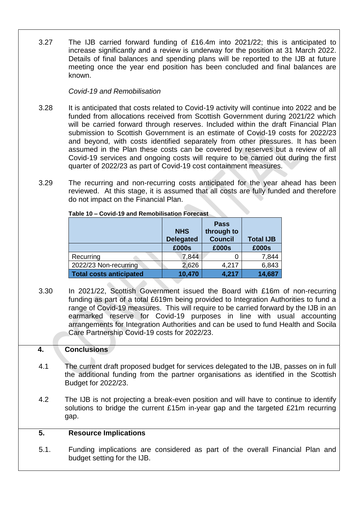3.27 The IJB carried forward funding of £16.4m into 2021/22; this is anticipated to increase significantly and a review is underway for the position at 31 March 2022. Details of final balances and spending plans will be reported to the IJB at future meeting once the year end position has been concluded and final balances are known.

#### *Covid-19 and Remobilisation*

- 3.28 It is anticipated that costs related to Covid-19 activity will continue into 2022 and be funded from allocations received from Scottish Government during 2021/22 which will be carried forward through reserves. Included within the draft Financial Plan submission to Scottish Government is an estimate of Covid-19 costs for 2022/23 and beyond, with costs identified separately from other pressures. It has been assumed in the Plan these costs can be covered by reserves but a review of all Covid-19 services and ongoing costs will require to be carried out during the first quarter of 2022/23 as part of Covid-19 cost containment measures.
- 3.29 The recurring and non-recurring costs anticipated for the year ahead has been reviewed. At this stage, it is assumed that all costs are fully funded and therefore do not impact on the Financial Plan.

|                                | <b>NHS</b><br><b>Delegated</b><br>£000s | <b>Pass</b><br>through to<br><b>Council</b><br>£000s | <b>Total IJB</b><br>£000s |
|--------------------------------|-----------------------------------------|------------------------------------------------------|---------------------------|
| Recurring                      | 7,844                                   |                                                      | 7,844                     |
| 2022/23 Non-recurring          | 2,626                                   | 4,217                                                | 6,843                     |
| <b>Total costs anticipated</b> | 10,470                                  | 4,217                                                | 14,687                    |

**Table 10 – Covid-19 and Remobilisation Forecast**

3.30 In 2021/22, Scottish Government issued the Board with £16m of non-recurring funding as part of a total £619m being provided to Integration Authorities to fund a range of Covid-19 measures. This will require to be carried forward by the IJB in an earmarked reserve for Covid-19 purposes in line with usual accounting arrangements for Integration Authorities and can be used to fund Health and Socila Care Partnership Covid-19 costs for 2022/23.

#### **4. Conclusions**

- 4.1 The current draft proposed budget for services delegated to the IJB, passes on in full the additional funding from the partner organisations as identified in the Scottish Budget for 2022/23.
- 4.2 The IJB is not projecting a break-even position and will have to continue to identify solutions to bridge the current £15m in-year gap and the targeted £21m recurring gap.

#### **5. Resource Implications**

5.1. Funding implications are considered as part of the overall Financial Plan and budget setting for the IJB.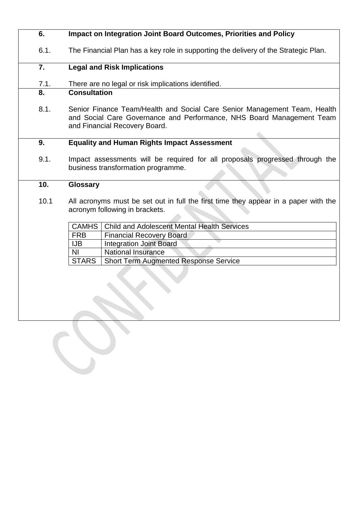### **6. Impact on Integration Joint Board Outcomes, Priorities and Policy**

6.1. The Financial Plan has a key role in supporting the delivery of the Strategic Plan.

## **7. Legal and Risk Implications**

7.1. There are no legal or risk implications identified.

## **8. Consultation**

8.1. Senior Finance Team/Health and Social Care Senior Management Team, Health and Social Care Governance and Performance, NHS Board Management Team and Financial Recovery Board.

#### **9. Equality and Human Rights Impact Assessment**

9.1. Impact assessments will be required for all proposals progressed through the business transformation programme.

#### **10. Glossary**

10.1 All acronyms must be set out in full the first time they appear in a paper with the acronym following in brackets.